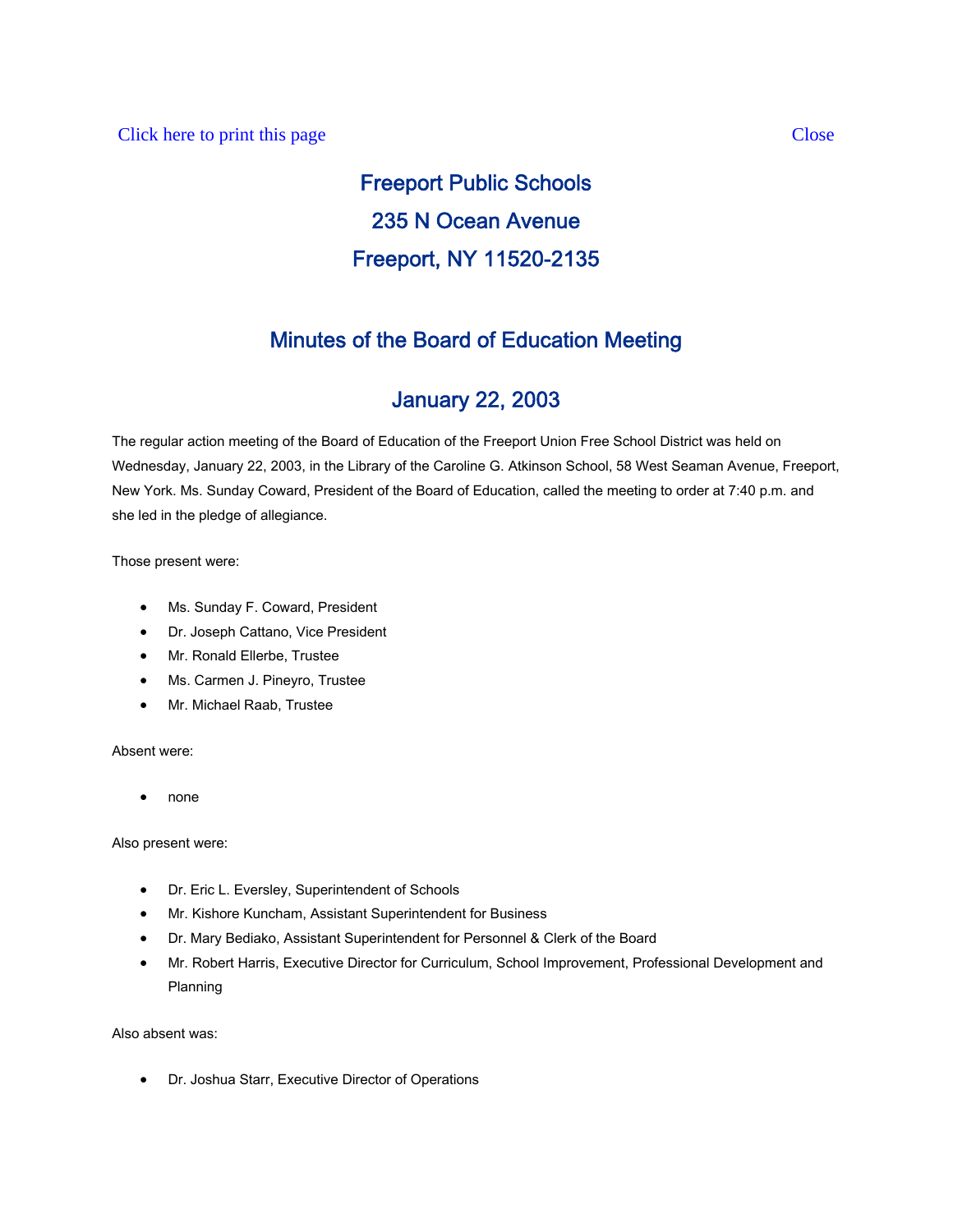### Click here to print this page Close

# Freeport Public Schools 235 N Ocean Avenue Freeport, NY 11520-2135

# Minutes of the Board of Education Meeting

## January 22, 2003

The regular action meeting of the Board of Education of the Freeport Union Free School District was held on Wednesday, January 22, 2003, in the Library of the Caroline G. Atkinson School, 58 West Seaman Avenue, Freeport, New York. Ms. Sunday Coward, President of the Board of Education, called the meeting to order at 7:40 p.m. and she led in the pledge of allegiance.

Those present were:

- Ms. Sunday F. Coward, President
- Dr. Joseph Cattano, Vice President
- Mr. Ronald Ellerbe, Trustee
- Ms. Carmen J. Pineyro, Trustee
- Mr. Michael Raab, Trustee

#### Absent were:

• none

Also present were:

- Dr. Eric L. Eversley, Superintendent of Schools
- Mr. Kishore Kuncham, Assistant Superintendent for Business
- Dr. Mary Bediako, Assistant Superintendent for Personnel & Clerk of the Board
- Mr. Robert Harris, Executive Director for Curriculum, School Improvement, Professional Development and Planning

Also absent was:

• Dr. Joshua Starr, Executive Director of Operations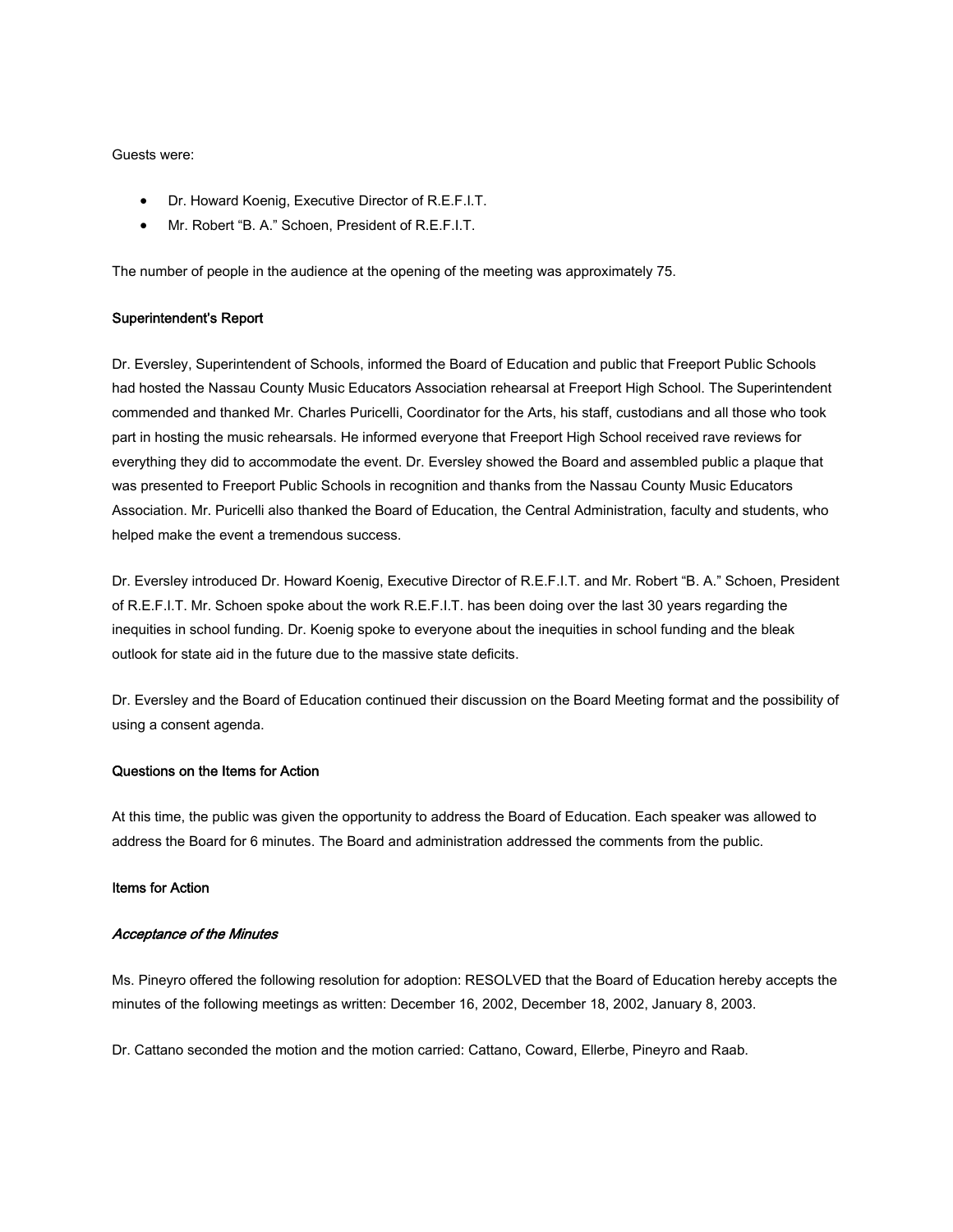#### Guests were:

- Dr. Howard Koenig, Executive Director of R.E.F.I.T.
- Mr. Robert "B. A." Schoen, President of R.E.F.I.T.

The number of people in the audience at the opening of the meeting was approximately 75.

#### Superintendent's Report

Dr. Eversley, Superintendent of Schools, informed the Board of Education and public that Freeport Public Schools had hosted the Nassau County Music Educators Association rehearsal at Freeport High School. The Superintendent commended and thanked Mr. Charles Puricelli, Coordinator for the Arts, his staff, custodians and all those who took part in hosting the music rehearsals. He informed everyone that Freeport High School received rave reviews for everything they did to accommodate the event. Dr. Eversley showed the Board and assembled public a plaque that was presented to Freeport Public Schools in recognition and thanks from the Nassau County Music Educators Association. Mr. Puricelli also thanked the Board of Education, the Central Administration, faculty and students, who helped make the event a tremendous success.

Dr. Eversley introduced Dr. Howard Koenig, Executive Director of R.E.F.I.T. and Mr. Robert "B. A." Schoen, President of R.E.F.I.T. Mr. Schoen spoke about the work R.E.F.I.T. has been doing over the last 30 years regarding the inequities in school funding. Dr. Koenig spoke to everyone about the inequities in school funding and the bleak outlook for state aid in the future due to the massive state deficits.

Dr. Eversley and the Board of Education continued their discussion on the Board Meeting format and the possibility of using a consent agenda.

#### Questions on the Items for Action

At this time, the public was given the opportunity to address the Board of Education. Each speaker was allowed to address the Board for 6 minutes. The Board and administration addressed the comments from the public.

#### Items for Action

#### Acceptance of the Minutes

Ms. Pineyro offered the following resolution for adoption: RESOLVED that the Board of Education hereby accepts the minutes of the following meetings as written: December 16, 2002, December 18, 2002, January 8, 2003.

Dr. Cattano seconded the motion and the motion carried: Cattano, Coward, Ellerbe, Pineyro and Raab.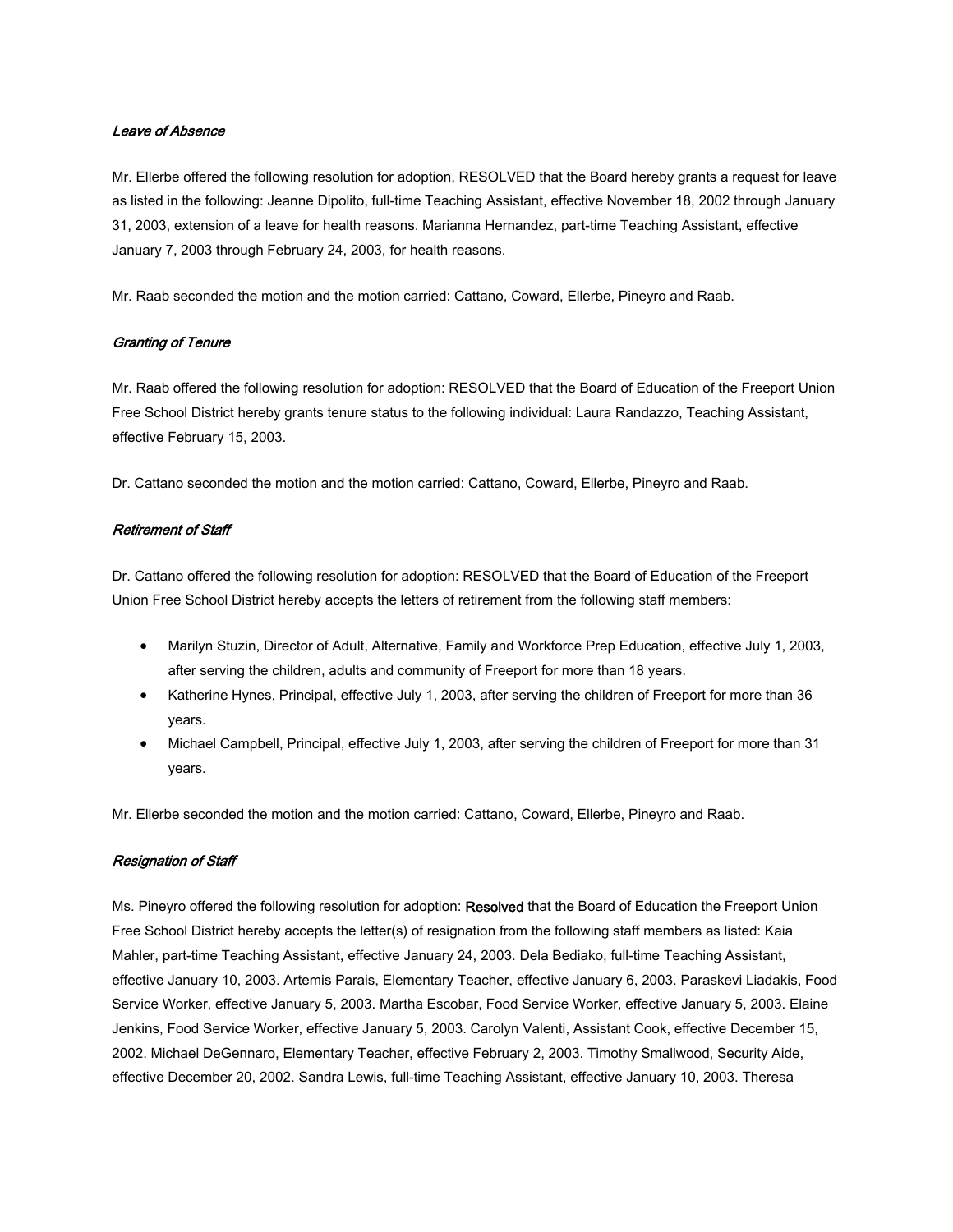#### Leave of Absence

Mr. Ellerbe offered the following resolution for adoption, RESOLVED that the Board hereby grants a request for leave as listed in the following: Jeanne Dipolito, full-time Teaching Assistant, effective November 18, 2002 through January 31, 2003, extension of a leave for health reasons. Marianna Hernandez, part-time Teaching Assistant, effective January 7, 2003 through February 24, 2003, for health reasons.

Mr. Raab seconded the motion and the motion carried: Cattano, Coward, Ellerbe, Pineyro and Raab.

#### Granting of Tenure

Mr. Raab offered the following resolution for adoption: RESOLVED that the Board of Education of the Freeport Union Free School District hereby grants tenure status to the following individual: Laura Randazzo, Teaching Assistant, effective February 15, 2003.

Dr. Cattano seconded the motion and the motion carried: Cattano, Coward, Ellerbe, Pineyro and Raab.

#### Retirement of Staff

Dr. Cattano offered the following resolution for adoption: RESOLVED that the Board of Education of the Freeport Union Free School District hereby accepts the letters of retirement from the following staff members:

- Marilyn Stuzin, Director of Adult, Alternative, Family and Workforce Prep Education, effective July 1, 2003, after serving the children, adults and community of Freeport for more than 18 years.
- Katherine Hynes, Principal, effective July 1, 2003, after serving the children of Freeport for more than 36 years.
- Michael Campbell, Principal, effective July 1, 2003, after serving the children of Freeport for more than 31 years.

Mr. Ellerbe seconded the motion and the motion carried: Cattano, Coward, Ellerbe, Pineyro and Raab.

#### Resignation of Staff

Ms. Pineyro offered the following resolution for adoption: Resolved that the Board of Education the Freeport Union Free School District hereby accepts the letter(s) of resignation from the following staff members as listed: Kaia Mahler, part-time Teaching Assistant, effective January 24, 2003. Dela Bediako, full-time Teaching Assistant, effective January 10, 2003. Artemis Parais, Elementary Teacher, effective January 6, 2003. Paraskevi Liadakis, Food Service Worker, effective January 5, 2003. Martha Escobar, Food Service Worker, effective January 5, 2003. Elaine Jenkins, Food Service Worker, effective January 5, 2003. Carolyn Valenti, Assistant Cook, effective December 15, 2002. Michael DeGennaro, Elementary Teacher, effective February 2, 2003. Timothy Smallwood, Security Aide, effective December 20, 2002. Sandra Lewis, full-time Teaching Assistant, effective January 10, 2003. Theresa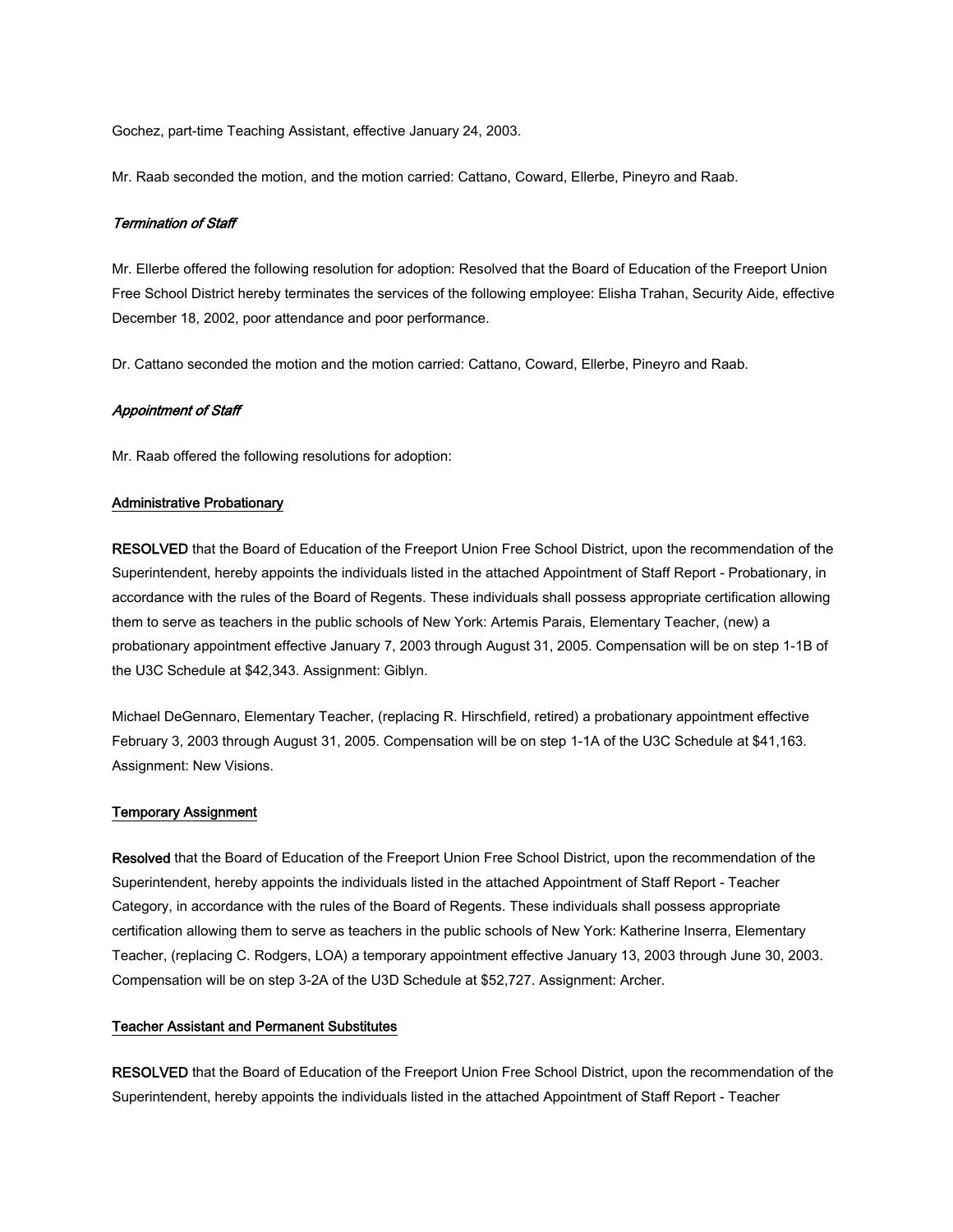Gochez, part-time Teaching Assistant, effective January 24, 2003.

Mr. Raab seconded the motion, and the motion carried: Cattano, Coward, Ellerbe, Pineyro and Raab.

#### Termination of Staff

Mr. Ellerbe offered the following resolution for adoption: Resolved that the Board of Education of the Freeport Union Free School District hereby terminates the services of the following employee: Elisha Trahan, Security Aide, effective December 18, 2002, poor attendance and poor performance.

Dr. Cattano seconded the motion and the motion carried: Cattano, Coward, Ellerbe, Pineyro and Raab.

#### Appointment of Staff

Mr. Raab offered the following resolutions for adoption:

#### Administrative Probationary

RESOLVED that the Board of Education of the Freeport Union Free School District, upon the recommendation of the Superintendent, hereby appoints the individuals listed in the attached Appointment of Staff Report - Probationary, in accordance with the rules of the Board of Regents. These individuals shall possess appropriate certification allowing them to serve as teachers in the public schools of New York: Artemis Parais, Elementary Teacher, (new) a probationary appointment effective January 7, 2003 through August 31, 2005. Compensation will be on step 1-1B of the U3C Schedule at \$42,343. Assignment: Giblyn.

Michael DeGennaro, Elementary Teacher, (replacing R. Hirschfield, retired) a probationary appointment effective February 3, 2003 through August 31, 2005. Compensation will be on step 1-1A of the U3C Schedule at \$41,163. Assignment: New Visions.

#### Temporary Assignment

Resolved that the Board of Education of the Freeport Union Free School District, upon the recommendation of the Superintendent, hereby appoints the individuals listed in the attached Appointment of Staff Report - Teacher Category, in accordance with the rules of the Board of Regents. These individuals shall possess appropriate certification allowing them to serve as teachers in the public schools of New York: Katherine Inserra, Elementary Teacher, (replacing C. Rodgers, LOA) a temporary appointment effective January 13, 2003 through June 30, 2003. Compensation will be on step 3-2A of the U3D Schedule at \$52,727. Assignment: Archer.

#### Teacher Assistant and Permanent Substitutes

RESOLVED that the Board of Education of the Freeport Union Free School District, upon the recommendation of the Superintendent, hereby appoints the individuals listed in the attached Appointment of Staff Report - Teacher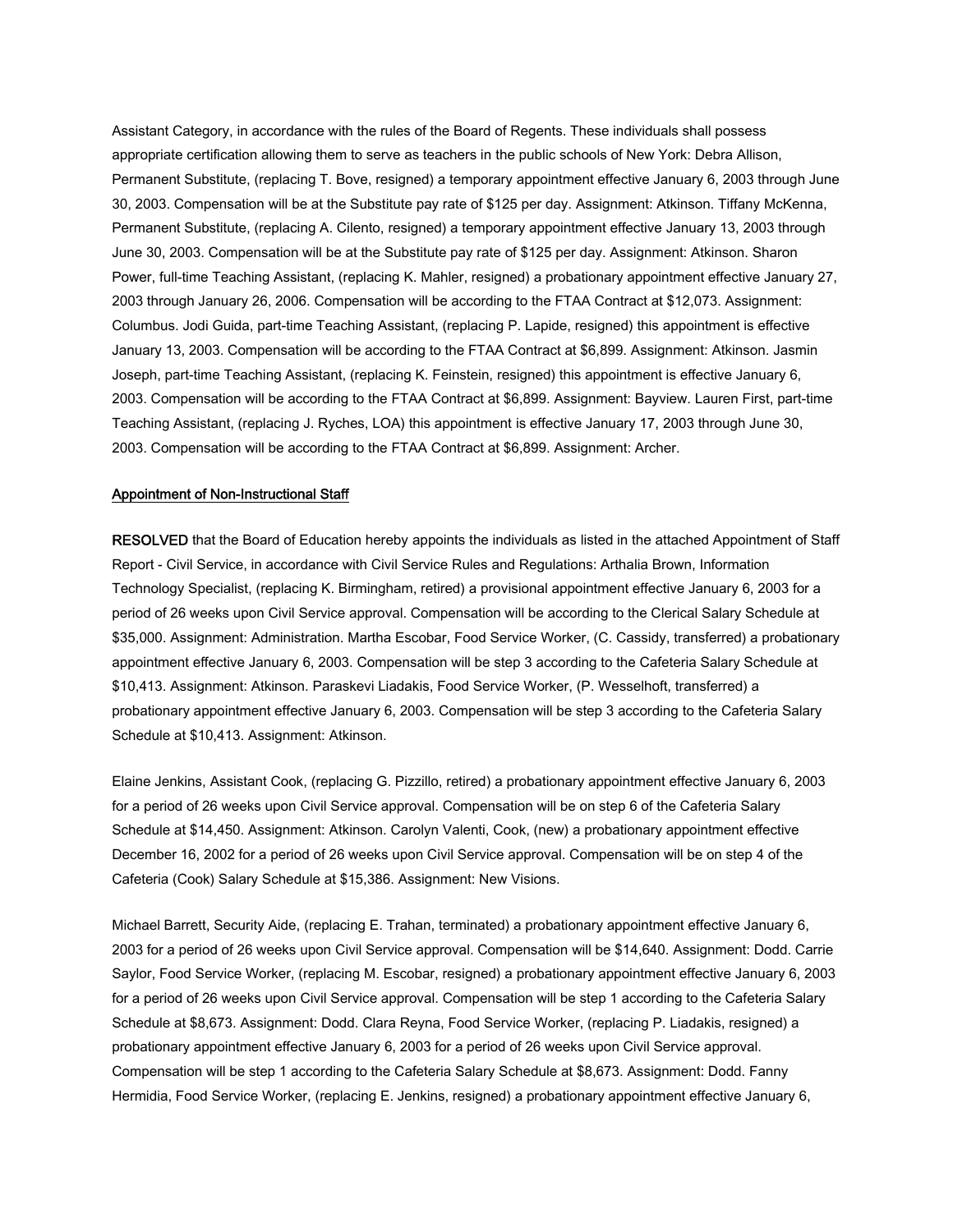Assistant Category, in accordance with the rules of the Board of Regents. These individuals shall possess appropriate certification allowing them to serve as teachers in the public schools of New York: Debra Allison, Permanent Substitute, (replacing T. Bove, resigned) a temporary appointment effective January 6, 2003 through June 30, 2003. Compensation will be at the Substitute pay rate of \$125 per day. Assignment: Atkinson. Tiffany McKenna, Permanent Substitute, (replacing A. Cilento, resigned) a temporary appointment effective January 13, 2003 through June 30, 2003. Compensation will be at the Substitute pay rate of \$125 per day. Assignment: Atkinson. Sharon Power, full-time Teaching Assistant, (replacing K. Mahler, resigned) a probationary appointment effective January 27, 2003 through January 26, 2006. Compensation will be according to the FTAA Contract at \$12,073. Assignment: Columbus. Jodi Guida, part-time Teaching Assistant, (replacing P. Lapide, resigned) this appointment is effective January 13, 2003. Compensation will be according to the FTAA Contract at \$6,899. Assignment: Atkinson. Jasmin Joseph, part-time Teaching Assistant, (replacing K. Feinstein, resigned) this appointment is effective January 6, 2003. Compensation will be according to the FTAA Contract at \$6,899. Assignment: Bayview. Lauren First, part-time Teaching Assistant, (replacing J. Ryches, LOA) this appointment is effective January 17, 2003 through June 30, 2003. Compensation will be according to the FTAA Contract at \$6,899. Assignment: Archer.

#### Appointment of Non-Instructional Staff

RESOLVED that the Board of Education hereby appoints the individuals as listed in the attached Appointment of Staff Report - Civil Service, in accordance with Civil Service Rules and Regulations: Arthalia Brown, Information Technology Specialist, (replacing K. Birmingham, retired) a provisional appointment effective January 6, 2003 for a period of 26 weeks upon Civil Service approval. Compensation will be according to the Clerical Salary Schedule at \$35,000. Assignment: Administration. Martha Escobar, Food Service Worker, (C. Cassidy, transferred) a probationary appointment effective January 6, 2003. Compensation will be step 3 according to the Cafeteria Salary Schedule at \$10,413. Assignment: Atkinson. Paraskevi Liadakis, Food Service Worker, (P. Wesselhoft, transferred) a probationary appointment effective January 6, 2003. Compensation will be step 3 according to the Cafeteria Salary Schedule at \$10,413. Assignment: Atkinson.

Elaine Jenkins, Assistant Cook, (replacing G. Pizzillo, retired) a probationary appointment effective January 6, 2003 for a period of 26 weeks upon Civil Service approval. Compensation will be on step 6 of the Cafeteria Salary Schedule at \$14,450. Assignment: Atkinson. Carolyn Valenti, Cook, (new) a probationary appointment effective December 16, 2002 for a period of 26 weeks upon Civil Service approval. Compensation will be on step 4 of the Cafeteria (Cook) Salary Schedule at \$15,386. Assignment: New Visions.

Michael Barrett, Security Aide, (replacing E. Trahan, terminated) a probationary appointment effective January 6, 2003 for a period of 26 weeks upon Civil Service approval. Compensation will be \$14,640. Assignment: Dodd. Carrie Saylor, Food Service Worker, (replacing M. Escobar, resigned) a probationary appointment effective January 6, 2003 for a period of 26 weeks upon Civil Service approval. Compensation will be step 1 according to the Cafeteria Salary Schedule at \$8,673. Assignment: Dodd. Clara Reyna, Food Service Worker, (replacing P. Liadakis, resigned) a probationary appointment effective January 6, 2003 for a period of 26 weeks upon Civil Service approval. Compensation will be step 1 according to the Cafeteria Salary Schedule at \$8,673. Assignment: Dodd. Fanny Hermidia, Food Service Worker, (replacing E. Jenkins, resigned) a probationary appointment effective January 6,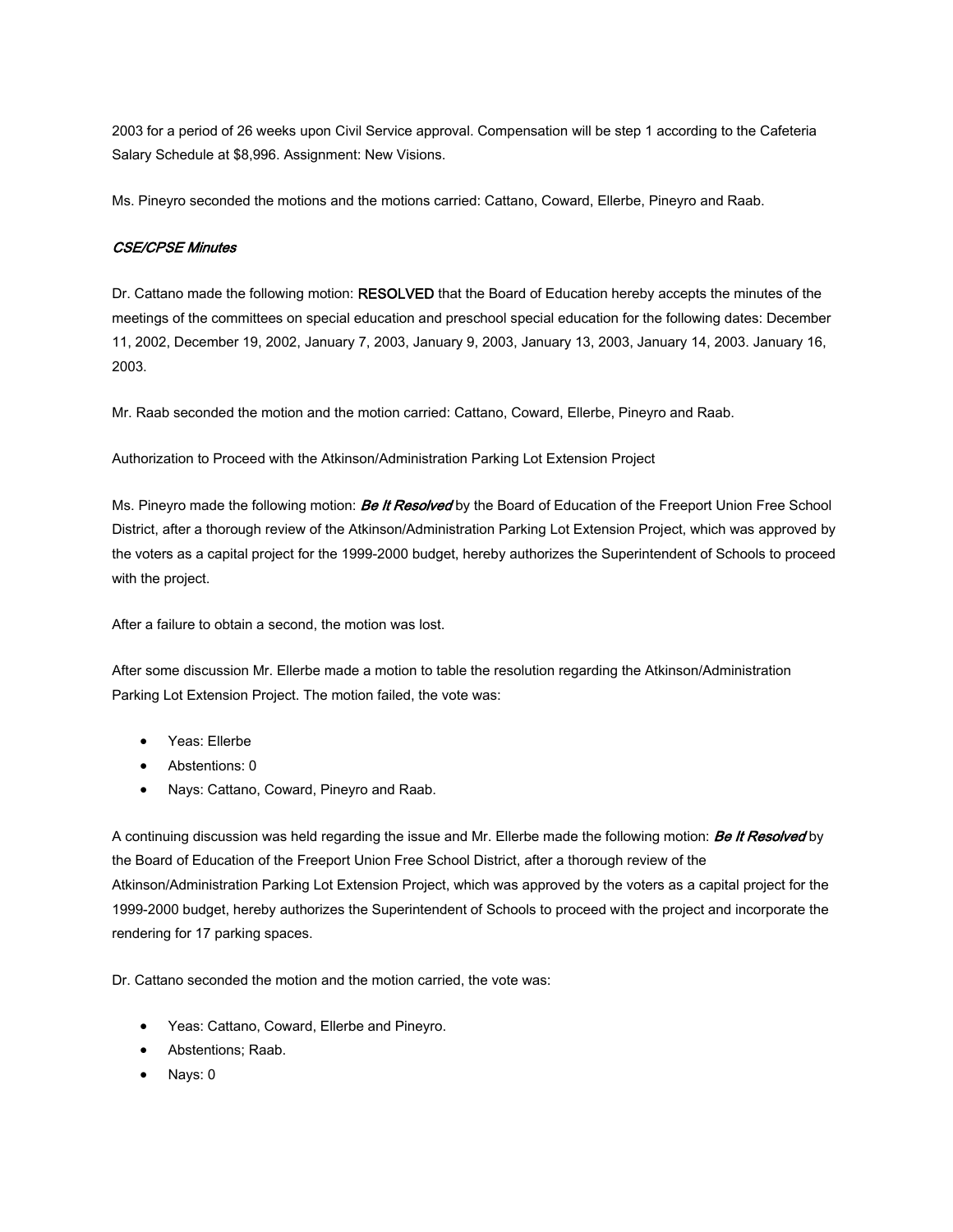2003 for a period of 26 weeks upon Civil Service approval. Compensation will be step 1 according to the Cafeteria Salary Schedule at \$8,996. Assignment: New Visions.

Ms. Pineyro seconded the motions and the motions carried: Cattano, Coward, Ellerbe, Pineyro and Raab.

#### CSE/CPSE Minutes

Dr. Cattano made the following motion: RESOLVED that the Board of Education hereby accepts the minutes of the meetings of the committees on special education and preschool special education for the following dates: December 11, 2002, December 19, 2002, January 7, 2003, January 9, 2003, January 13, 2003, January 14, 2003. January 16, 2003.

Mr. Raab seconded the motion and the motion carried: Cattano, Coward, Ellerbe, Pineyro and Raab.

Authorization to Proceed with the Atkinson/Administration Parking Lot Extension Project

Ms. Pineyro made the following motion: **Be It Resolved** by the Board of Education of the Freeport Union Free School District, after a thorough review of the Atkinson/Administration Parking Lot Extension Project, which was approved by the voters as a capital project for the 1999-2000 budget, hereby authorizes the Superintendent of Schools to proceed with the project.

After a failure to obtain a second, the motion was lost.

After some discussion Mr. Ellerbe made a motion to table the resolution regarding the Atkinson/Administration Parking Lot Extension Project. The motion failed, the vote was:

- Yeas: Ellerbe
- Abstentions: 0
- Nays: Cattano, Coward, Pineyro and Raab.

A continuing discussion was held regarding the issue and Mr. Ellerbe made the following motion: Be It Resolved by the Board of Education of the Freeport Union Free School District, after a thorough review of the Atkinson/Administration Parking Lot Extension Project, which was approved by the voters as a capital project for the 1999-2000 budget, hereby authorizes the Superintendent of Schools to proceed with the project and incorporate the rendering for 17 parking spaces.

Dr. Cattano seconded the motion and the motion carried, the vote was:

- Yeas: Cattano, Coward, Ellerbe and Pineyro.
- Abstentions; Raab.
- Nays: 0